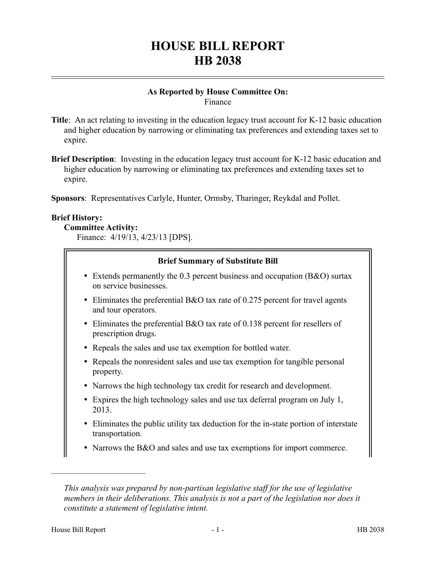# **HOUSE BILL REPORT HB 2038**

#### **As Reported by House Committee On:** Finance

**Title**: An act relating to investing in the education legacy trust account for K-12 basic education and higher education by narrowing or eliminating tax preferences and extending taxes set to expire.

**Brief Description**: Investing in the education legacy trust account for K-12 basic education and higher education by narrowing or eliminating tax preferences and extending taxes set to expire.

**Sponsors**: Representatives Carlyle, Hunter, Ormsby, Tharinger, Reykdal and Pollet.

## **Brief History:**

# **Committee Activity:**

Finance: 4/19/13, 4/23/13 [DPS].

## **Brief Summary of Substitute Bill**

- Extends permanently the 0.3 percent business and occupation (B&O) surtax on service businesses.
- Eliminates the preferential B&O tax rate of 0.275 percent for travel agents and tour operators.
- Eliminates the preferential B&O tax rate of 0.138 percent for resellers of prescription drugs.
- Repeals the sales and use tax exemption for bottled water.
- Repeals the nonresident sales and use tax exemption for tangible personal property.
- Narrows the high technology tax credit for research and development.
- Expires the high technology sales and use tax deferral program on July 1, 2013.
- Eliminates the public utility tax deduction for the in-state portion of interstate transportation.
- Narrows the B&O and sales and use tax exemptions for import commerce.

––––––––––––––––––––––

*This analysis was prepared by non-partisan legislative staff for the use of legislative members in their deliberations. This analysis is not a part of the legislation nor does it constitute a statement of legislative intent.*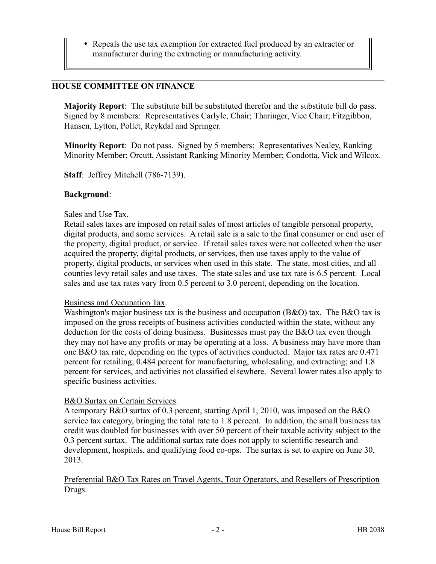Repeals the use tax exemption for extracted fuel produced by an extractor or manufacturer during the extracting or manufacturing activity.

# **HOUSE COMMITTEE ON FINANCE**

**Majority Report**: The substitute bill be substituted therefor and the substitute bill do pass. Signed by 8 members: Representatives Carlyle, Chair; Tharinger, Vice Chair; Fitzgibbon, Hansen, Lytton, Pollet, Reykdal and Springer.

**Minority Report**: Do not pass. Signed by 5 members: Representatives Nealey, Ranking Minority Member; Orcutt, Assistant Ranking Minority Member; Condotta, Vick and Wilcox.

**Staff**: Jeffrey Mitchell (786-7139).

#### **Background**:

#### Sales and Use Tax.

Retail sales taxes are imposed on retail sales of most articles of tangible personal property, digital products, and some services. A retail sale is a sale to the final consumer or end user of the property, digital product, or service. If retail sales taxes were not collected when the user acquired the property, digital products, or services, then use taxes apply to the value of property, digital products, or services when used in this state. The state, most cities, and all counties levy retail sales and use taxes. The state sales and use tax rate is 6.5 percent. Local sales and use tax rates vary from 0.5 percent to 3.0 percent, depending on the location.

#### Business and Occupation Tax.

Washington's major business tax is the business and occupation (B&O) tax. The B&O tax is imposed on the gross receipts of business activities conducted within the state, without any deduction for the costs of doing business. Businesses must pay the B&O tax even though they may not have any profits or may be operating at a loss. A business may have more than one B&O tax rate, depending on the types of activities conducted. Major tax rates are 0.471 percent for retailing; 0.484 percent for manufacturing, wholesaling, and extracting; and 1.8 percent for services, and activities not classified elsewhere. Several lower rates also apply to specific business activities.

## B&O Surtax on Certain Services.

A temporary B&O surtax of 0.3 percent, starting April 1, 2010, was imposed on the B&O service tax category, bringing the total rate to 1.8 percent. In addition, the small business tax credit was doubled for businesses with over 50 percent of their taxable activity subject to the 0.3 percent surtax. The additional surtax rate does not apply to scientific research and development, hospitals, and qualifying food co-ops. The surtax is set to expire on June 30, 2013.

## Preferential B&O Tax Rates on Travel Agents, Tour Operators, and Resellers of Prescription Drugs.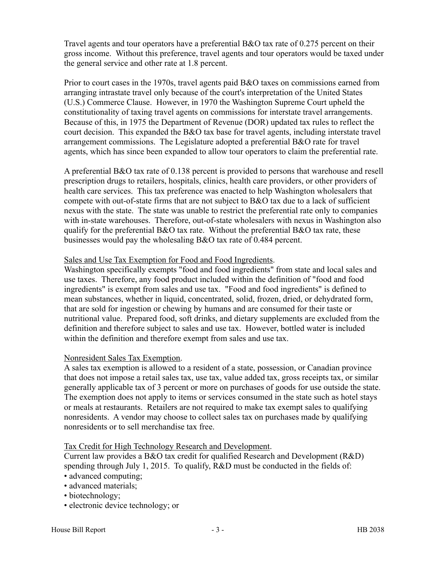Travel agents and tour operators have a preferential B&O tax rate of 0.275 percent on their gross income. Without this preference, travel agents and tour operators would be taxed under the general service and other rate at 1.8 percent.

Prior to court cases in the 1970s, travel agents paid B&O taxes on commissions earned from arranging intrastate travel only because of the court's interpretation of the United States (U.S.) Commerce Clause. However, in 1970 the Washington Supreme Court upheld the constitutionality of taxing travel agents on commissions for interstate travel arrangements. Because of this, in 1975 the Department of Revenue (DOR) updated tax rules to reflect the court decision. This expanded the B&O tax base for travel agents, including interstate travel arrangement commissions. The Legislature adopted a preferential B&O rate for travel agents, which has since been expanded to allow tour operators to claim the preferential rate.

A preferential B&O tax rate of 0.138 percent is provided to persons that warehouse and resell prescription drugs to retailers, hospitals, clinics, health care providers, or other providers of health care services. This tax preference was enacted to help Washington wholesalers that compete with out-of-state firms that are not subject to B&O tax due to a lack of sufficient nexus with the state. The state was unable to restrict the preferential rate only to companies with in-state warehouses. Therefore, out-of-state wholesalers with nexus in Washington also qualify for the preferential B&O tax rate. Without the preferential B&O tax rate, these businesses would pay the wholesaling B&O tax rate of 0.484 percent.

## Sales and Use Tax Exemption for Food and Food Ingredients.

Washington specifically exempts "food and food ingredients" from state and local sales and use taxes. Therefore, any food product included within the definition of "food and food ingredients" is exempt from sales and use tax. "Food and food ingredients" is defined to mean substances, whether in liquid, concentrated, solid, frozen, dried, or dehydrated form, that are sold for ingestion or chewing by humans and are consumed for their taste or nutritional value. Prepared food, soft drinks, and dietary supplements are excluded from the definition and therefore subject to sales and use tax. However, bottled water is included within the definition and therefore exempt from sales and use tax.

## Nonresident Sales Tax Exemption.

A sales tax exemption is allowed to a resident of a state, possession, or Canadian province that does not impose a retail sales tax, use tax, value added tax, gross receipts tax, or similar generally applicable tax of 3 percent or more on purchases of goods for use outside the state. The exemption does not apply to items or services consumed in the state such as hotel stays or meals at restaurants. Retailers are not required to make tax exempt sales to qualifying nonresidents. A vendor may choose to collect sales tax on purchases made by qualifying nonresidents or to sell merchandise tax free.

## Tax Credit for High Technology Research and Development.

Current law provides a B&O tax credit for qualified Research and Development (R&D) spending through July 1, 2015. To qualify, R&D must be conducted in the fields of: • advanced computing;

- advanced materials;
- biotechnology;
- electronic device technology; or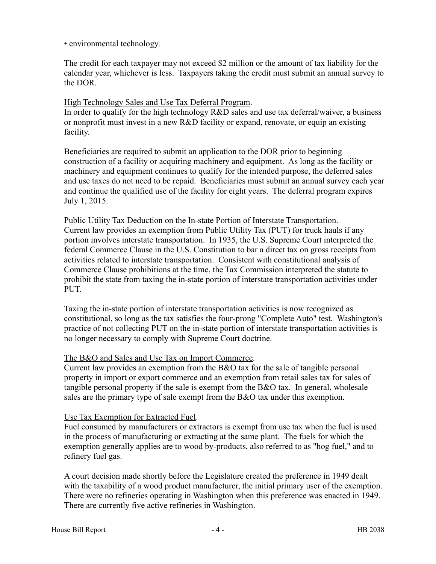• environmental technology.

The credit for each taxpayer may not exceed \$2 million or the amount of tax liability for the calendar year, whichever is less. Taxpayers taking the credit must submit an annual survey to the DOR.

# High Technology Sales and Use Tax Deferral Program.

In order to qualify for the high technology R&D sales and use tax deferral/waiver, a business or nonprofit must invest in a new  $R\&D$  facility or expand, renovate, or equip an existing facility.

Beneficiaries are required to submit an application to the DOR prior to beginning construction of a facility or acquiring machinery and equipment. As long as the facility or machinery and equipment continues to qualify for the intended purpose, the deferred sales and use taxes do not need to be repaid. Beneficiaries must submit an annual survey each year and continue the qualified use of the facility for eight years. The deferral program expires July 1, 2015.

Public Utility Tax Deduction on the In-state Portion of Interstate Transportation. Current law provides an exemption from Public Utility Tax (PUT) for truck hauls if any portion involves interstate transportation. In 1935, the U.S. Supreme Court interpreted the federal Commerce Clause in the U.S. Constitution to bar a direct tax on gross receipts from activities related to interstate transportation. Consistent with constitutional analysis of Commerce Clause prohibitions at the time, the Tax Commission interpreted the statute to prohibit the state from taxing the in-state portion of interstate transportation activities under PUT.

Taxing the in-state portion of interstate transportation activities is now recognized as constitutional, so long as the tax satisfies the four-prong "Complete Auto" test. Washington's practice of not collecting PUT on the in-state portion of interstate transportation activities is no longer necessary to comply with Supreme Court doctrine.

# The B&O and Sales and Use Tax on Import Commerce.

Current law provides an exemption from the B&O tax for the sale of tangible personal property in import or export commerce and an exemption from retail sales tax for sales of tangible personal property if the sale is exempt from the B&O tax. In general, wholesale sales are the primary type of sale exempt from the B&O tax under this exemption.

# Use Tax Exemption for Extracted Fuel.

Fuel consumed by manufacturers or extractors is exempt from use tax when the fuel is used in the process of manufacturing or extracting at the same plant. The fuels for which the exemption generally applies are to wood by-products, also referred to as "hog fuel," and to refinery fuel gas.

A court decision made shortly before the Legislature created the preference in 1949 dealt with the taxability of a wood product manufacturer, the initial primary user of the exemption. There were no refineries operating in Washington when this preference was enacted in 1949. There are currently five active refineries in Washington.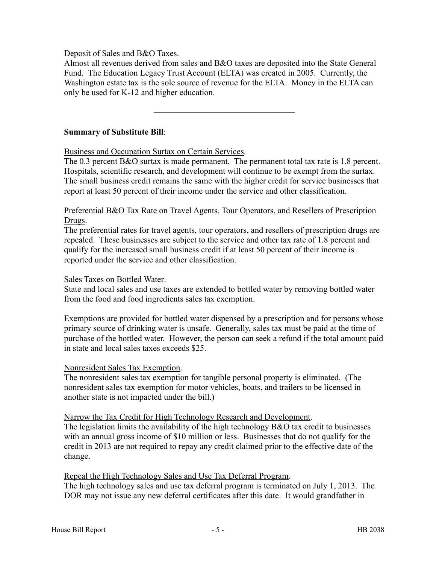## Deposit of Sales and B&O Taxes.

Almost all revenues derived from sales and B&O taxes are deposited into the State General Fund. The Education Legacy Trust Account (ELTA) was created in 2005. Currently, the Washington estate tax is the sole source of revenue for the ELTA. Money in the ELTA can only be used for K-12 and higher education.

–––––––––––––––––––––––––––––––––

## **Summary of Substitute Bill**:

Business and Occupation Surtax on Certain Services.

The 0.3 percent B&O surtax is made permanent. The permanent total tax rate is 1.8 percent. Hospitals, scientific research, and development will continue to be exempt from the surtax. The small business credit remains the same with the higher credit for service businesses that report at least 50 percent of their income under the service and other classification.

## Preferential B&O Tax Rate on Travel Agents, Tour Operators, and Resellers of Prescription Drugs.

The preferential rates for travel agents, tour operators, and resellers of prescription drugs are repealed. These businesses are subject to the service and other tax rate of 1.8 percent and qualify for the increased small business credit if at least 50 percent of their income is reported under the service and other classification.

## Sales Taxes on Bottled Water.

State and local sales and use taxes are extended to bottled water by removing bottled water from the food and food ingredients sales tax exemption.

Exemptions are provided for bottled water dispensed by a prescription and for persons whose primary source of drinking water is unsafe. Generally, sales tax must be paid at the time of purchase of the bottled water. However, the person can seek a refund if the total amount paid in state and local sales taxes exceeds \$25.

## Nonresident Sales Tax Exemption.

The nonresident sales tax exemption for tangible personal property is eliminated. (The nonresident sales tax exemption for motor vehicles, boats, and trailers to be licensed in another state is not impacted under the bill.)

## Narrow the Tax Credit for High Technology Research and Development.

The legislation limits the availability of the high technology B&O tax credit to businesses with an annual gross income of \$10 million or less. Businesses that do not qualify for the credit in 2013 are not required to repay any credit claimed prior to the effective date of the change.

## Repeal the High Technology Sales and Use Tax Deferral Program.

The high technology sales and use tax deferral program is terminated on July 1, 2013. The DOR may not issue any new deferral certificates after this date. It would grandfather in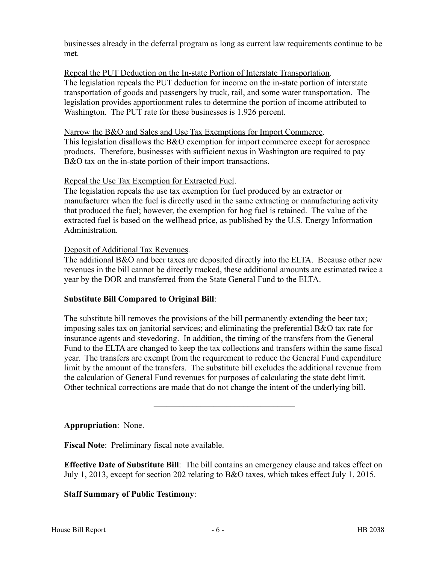businesses already in the deferral program as long as current law requirements continue to be met.

## Repeal the PUT Deduction on the In-state Portion of Interstate Transportation.

The legislation repeals the PUT deduction for income on the in-state portion of interstate transportation of goods and passengers by truck, rail, and some water transportation. The legislation provides apportionment rules to determine the portion of income attributed to Washington. The PUT rate for these businesses is 1.926 percent.

#### Narrow the B&O and Sales and Use Tax Exemptions for Import Commerce.

This legislation disallows the B&O exemption for import commerce except for aerospace products. Therefore, businesses with sufficient nexus in Washington are required to pay B&O tax on the in-state portion of their import transactions.

#### Repeal the Use Tax Exemption for Extracted Fuel.

The legislation repeals the use tax exemption for fuel produced by an extractor or manufacturer when the fuel is directly used in the same extracting or manufacturing activity that produced the fuel; however, the exemption for hog fuel is retained. The value of the extracted fuel is based on the wellhead price, as published by the U.S. Energy Information Administration.

## Deposit of Additional Tax Revenues.

The additional B&O and beer taxes are deposited directly into the ELTA. Because other new revenues in the bill cannot be directly tracked, these additional amounts are estimated twice a year by the DOR and transferred from the State General Fund to the ELTA.

## **Substitute Bill Compared to Original Bill**:

The substitute bill removes the provisions of the bill permanently extending the beer tax; imposing sales tax on janitorial services; and eliminating the preferential B&O tax rate for insurance agents and stevedoring. In addition, the timing of the transfers from the General Fund to the ELTA are changed to keep the tax collections and transfers within the same fiscal year. The transfers are exempt from the requirement to reduce the General Fund expenditure limit by the amount of the transfers. The substitute bill excludes the additional revenue from the calculation of General Fund revenues for purposes of calculating the state debt limit. Other technical corrections are made that do not change the intent of the underlying bill.

–––––––––––––––––––––––––––––––––

**Appropriation**: None.

**Fiscal Note**: Preliminary fiscal note available.

**Effective Date of Substitute Bill**: The bill contains an emergency clause and takes effect on July 1, 2013, except for section 202 relating to B&O taxes, which takes effect July 1, 2015.

## **Staff Summary of Public Testimony**: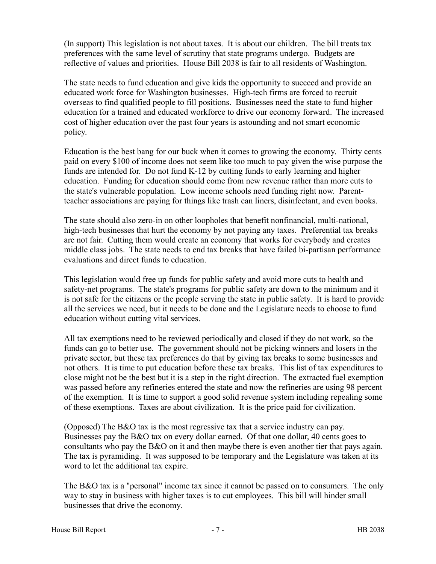(In support) This legislation is not about taxes. It is about our children. The bill treats tax preferences with the same level of scrutiny that state programs undergo. Budgets are reflective of values and priorities. House Bill 2038 is fair to all residents of Washington.

The state needs to fund education and give kids the opportunity to succeed and provide an educated work force for Washington businesses. High-tech firms are forced to recruit overseas to find qualified people to fill positions. Businesses need the state to fund higher education for a trained and educated workforce to drive our economy forward. The increased cost of higher education over the past four years is astounding and not smart economic policy.

Education is the best bang for our buck when it comes to growing the economy. Thirty cents paid on every \$100 of income does not seem like too much to pay given the wise purpose the funds are intended for. Do not fund K-12 by cutting funds to early learning and higher education. Funding for education should come from new revenue rather than more cuts to the state's vulnerable population. Low income schools need funding right now. Parentteacher associations are paying for things like trash can liners, disinfectant, and even books.

The state should also zero-in on other loopholes that benefit nonfinancial, multi-national, high-tech businesses that hurt the economy by not paying any taxes. Preferential tax breaks are not fair. Cutting them would create an economy that works for everybody and creates middle class jobs. The state needs to end tax breaks that have failed bi-partisan performance evaluations and direct funds to education.

This legislation would free up funds for public safety and avoid more cuts to health and safety-net programs. The state's programs for public safety are down to the minimum and it is not safe for the citizens or the people serving the state in public safety. It is hard to provide all the services we need, but it needs to be done and the Legislature needs to choose to fund education without cutting vital services.

All tax exemptions need to be reviewed periodically and closed if they do not work, so the funds can go to better use. The government should not be picking winners and losers in the private sector, but these tax preferences do that by giving tax breaks to some businesses and not others. It is time to put education before these tax breaks. This list of tax expenditures to close might not be the best but it is a step in the right direction. The extracted fuel exemption was passed before any refineries entered the state and now the refineries are using 98 percent of the exemption. It is time to support a good solid revenue system including repealing some of these exemptions. Taxes are about civilization. It is the price paid for civilization.

(Opposed) The B&O tax is the most regressive tax that a service industry can pay. Businesses pay the B&O tax on every dollar earned. Of that one dollar, 40 cents goes to consultants who pay the B&O on it and then maybe there is even another tier that pays again. The tax is pyramiding. It was supposed to be temporary and the Legislature was taken at its word to let the additional tax expire.

The B&O tax is a "personal" income tax since it cannot be passed on to consumers. The only way to stay in business with higher taxes is to cut employees. This bill will hinder small businesses that drive the economy.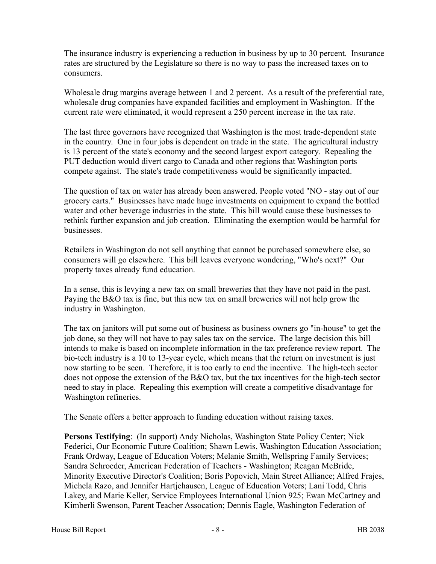The insurance industry is experiencing a reduction in business by up to 30 percent. Insurance rates are structured by the Legislature so there is no way to pass the increased taxes on to consumers.

Wholesale drug margins average between 1 and 2 percent. As a result of the preferential rate, wholesale drug companies have expanded facilities and employment in Washington. If the current rate were eliminated, it would represent a 250 percent increase in the tax rate.

The last three governors have recognized that Washington is the most trade-dependent state in the country. One in four jobs is dependent on trade in the state. The agricultural industry is 13 percent of the state's economy and the second largest export category. Repealing the PUT deduction would divert cargo to Canada and other regions that Washington ports compete against. The state's trade competitiveness would be significantly impacted.

The question of tax on water has already been answered. People voted "NO - stay out of our grocery carts." Businesses have made huge investments on equipment to expand the bottled water and other beverage industries in the state. This bill would cause these businesses to rethink further expansion and job creation. Eliminating the exemption would be harmful for businesses.

Retailers in Washington do not sell anything that cannot be purchased somewhere else, so consumers will go elsewhere. This bill leaves everyone wondering, "Who's next?" Our property taxes already fund education.

In a sense, this is levying a new tax on small breweries that they have not paid in the past. Paying the B&O tax is fine, but this new tax on small breweries will not help grow the industry in Washington.

The tax on janitors will put some out of business as business owners go "in-house" to get the job done, so they will not have to pay sales tax on the service. The large decision this bill intends to make is based on incomplete information in the tax preference review report. The bio-tech industry is a 10 to 13-year cycle, which means that the return on investment is just now starting to be seen. Therefore, it is too early to end the incentive. The high-tech sector does not oppose the extension of the B&O tax, but the tax incentives for the high-tech sector need to stay in place. Repealing this exemption will create a competitive disadvantage for Washington refineries.

The Senate offers a better approach to funding education without raising taxes.

**Persons Testifying**: (In support) Andy Nicholas, Washington State Policy Center; Nick Federici, Our Economic Future Coalition; Shawn Lewis, Washington Education Association; Frank Ordway, League of Education Voters; Melanie Smith, Wellspring Family Services; Sandra Schroeder, American Federation of Teachers - Washington; Reagan McBride, Minority Executive Director's Coalition; Boris Popovich, Main Street Alliance; Alfred Frajes, Michela Razo, and Jennifer Hartjehausen, League of Education Voters; Lani Todd, Chris Lakey, and Marie Keller, Service Employees International Union 925; Ewan McCartney and Kimberli Swenson, Parent Teacher Assocation; Dennis Eagle, Washington Federation of